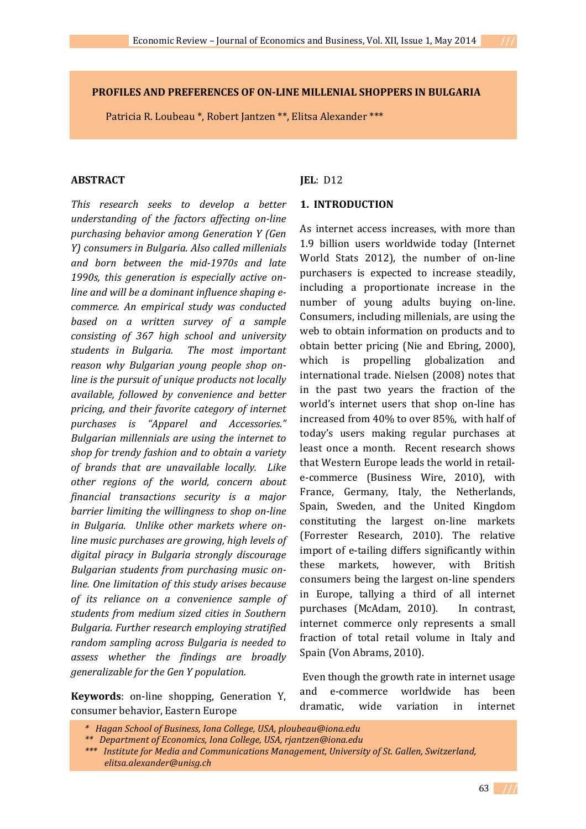Patricia R. Loubeau \*, Robert Jantzen \*\*, Elitsa Alexander \*\*\*

### **ABSTRACT**

*This research seeks to develop a better understanding of the factors affecting on-line purchasing behavior among Generation Y (Gen Y) consumers in Bulgaria. Also called millenials and born between the mid-1970s and late 1990s, this generation is especially active online and will be a dominant influence shaping ecommerce. An empirical study was conducted based on a written survey of a sample consisting of 367 high school and university students in Bulgaria. The most important reason why Bulgarian young people shop online is the pursuit of unique products not locally available, followed by convenience and better pricing, and their favorite category of internet purchases is "Apparel and Accessories." Bulgarian millennials are using the internet to shop for trendy fashion and to obtain a variety of brands that are unavailable locally. Like other regions of the world, concern about financial transactions security is a major barrier limiting the willingness to shop on-line in Bulgaria. Unlike other markets where online music purchases are growing, high levels of digital piracy in Bulgaria strongly discourage Bulgarian students from purchasing music online. One limitation of this study arises because of its reliance on a convenience sample of students from medium sized cities in Southern Bulgaria. Further research employing stratified random sampling across Bulgaria is needed to assess whether the findings are broadly generalizable for the Gen Y population.*

**Keywords**: on-line shopping, Generation Y, consumer behavior, Eastern Europe

**JEL**: D12

#### **1. INTRODUCTION**

As internet access increases, with more than 1.9 billion users worldwide today (Internet World Stats 2012), the number of on-line purchasers is expected to increase steadily, including a proportionate increase in the number of young adults buying on-line. Consumers, including millenials, are using the web to obtain information on products and to obtain better pricing (Nie and Ebring, 2000), which is propelling globalization and international trade. Nielsen (2008) notes that in the past two years the fraction of the world's internet users that shop on-line has increased from 40% to over 85%, with half of today's users making regular purchases at least once a month. Recent research shows that Western Europe leads the world in retaile-commerce (Business Wire, 2010), with France, Germany, Italy, the Netherlands, Spain, Sweden, and the United Kingdom constituting the largest on-line markets (Forrester Research, 2010). The relative import of e-tailing differs significantly within these markets, however, with British consumers being the largest on-line spenders in Europe, tallying a third of all internet purchases (McAdam, 2010). In contrast, internet commerce only represents a small fraction of total retail volume in Italy and Spain (Von Abrams, 2010).

 Even though the growth rate in internet usage and e-commerce worldwide has been dramatic, wide variation in internet

*<sup>\*</sup> Hagan School of Business, Iona College, USA, ploubeau@iona.edu* 

*<sup>\*\*</sup> Department of Economics, Iona College, USA, rjantzen@iona.edu* 

*<sup>\*\*\*</sup> Institute for Media and Communications Management, University of St. Gallen, Switzerland, elitsa.alexander@unisg.ch*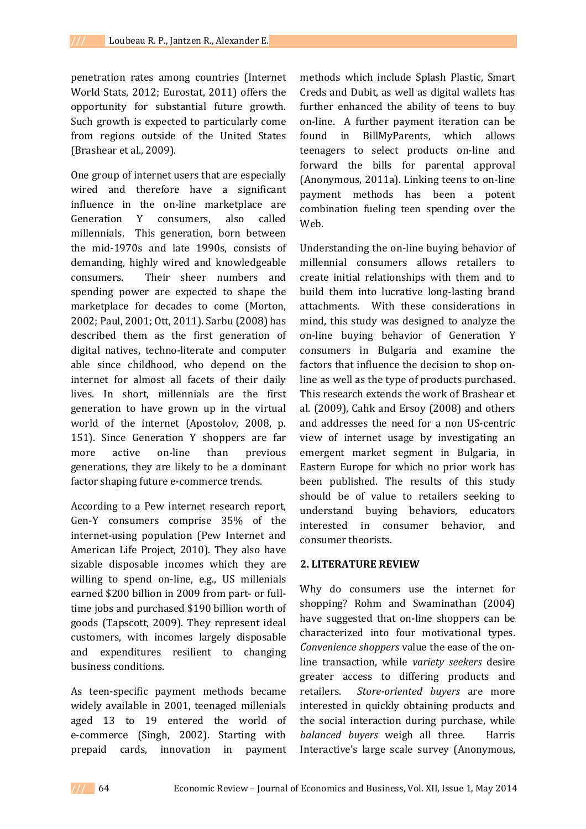penetration rates among countries (Internet World Stats, 2012; Eurostat, 2011) offers the opportunity for substantial future growth. Such growth is expected to particularly come from regions outside of the United States (Brashear et al., 2009).

One group of internet users that are especially wired and therefore have a significant influence in the on-line marketplace are Generation Y consumers, also called millennials. This generation, born between the mid-1970s and late 1990s, consists of demanding, highly wired and knowledgeable consumers. Their sheer numbers and spending power are expected to shape the marketplace for decades to come (Morton, 2002; Paul, 2001; Ott, 2011). Sarbu (2008) has described them as the first generation of digital natives, techno-literate and computer able since childhood, who depend on the internet for almost all facets of their daily lives. In short, millennials are the first generation to have grown up in the virtual world of the internet (Apostolov, 2008, p. 151). Since Generation Y shoppers are far more active on-line than previous generations, they are likely to be a dominant factor shaping future e-commerce trends.

According to a Pew internet research report, Gen-Y consumers comprise 35% of the internet-using population (Pew Internet and American Life Project, 2010). They also have sizable disposable incomes which they are willing to spend on-line, e.g., US millenials earned \$200 billion in 2009 from part- or fulltime jobs and purchased \$190 billion worth of goods (Tapscott, 2009). They represent ideal customers, with incomes largely disposable and expenditures resilient to changing business conditions.

As teen-specific payment methods became widely available in 2001, teenaged millenials aged 13 to 19 entered the world of e-commerce (Singh, 2002). Starting with prepaid cards, innovation in payment methods which include Splash Plastic, Smart Creds and Dubit, as well as digital wallets has further enhanced the ability of teens to buy on-line. A further payment iteration can be found in BillMyParents, which allows teenagers to select products on-line and forward the bills for parental approval (Anonymous, 2011a). Linking teens to on-line payment methods has been a potent combination fueling teen spending over the Web.

Understanding the on-line buying behavior of millennial consumers allows retailers to create initial relationships with them and to build them into lucrative long-lasting brand attachments. With these considerations in mind, this study was designed to analyze the on-line buying behavior of Generation Y consumers in Bulgaria and examine the factors that influence the decision to shop online as well as the type of products purchased. This research extends the work of Brashear et al. (2009), Cahk and Ersoy (2008) and others and addresses the need for a non US-centric view of internet usage by investigating an emergent market segment in Bulgaria, in Eastern Europe for which no prior work has been published. The results of this study should be of value to retailers seeking to understand buying behaviors, educators interested in consumer behavior, and consumer theorists.

### **2. LITERATURE REVIEW**

Why do consumers use the internet for shopping? Rohm and Swaminathan (2004) have suggested that on-line shoppers can be characterized into four motivational types. *Convenience shoppers* value the ease of the online transaction, while *variety seekers* desire greater access to differing products and retailers. *Store-oriented buyers* are more interested in quickly obtaining products and the social interaction during purchase, while *balanced buyers* weigh all three. Harris Interactive's large scale survey (Anonymous,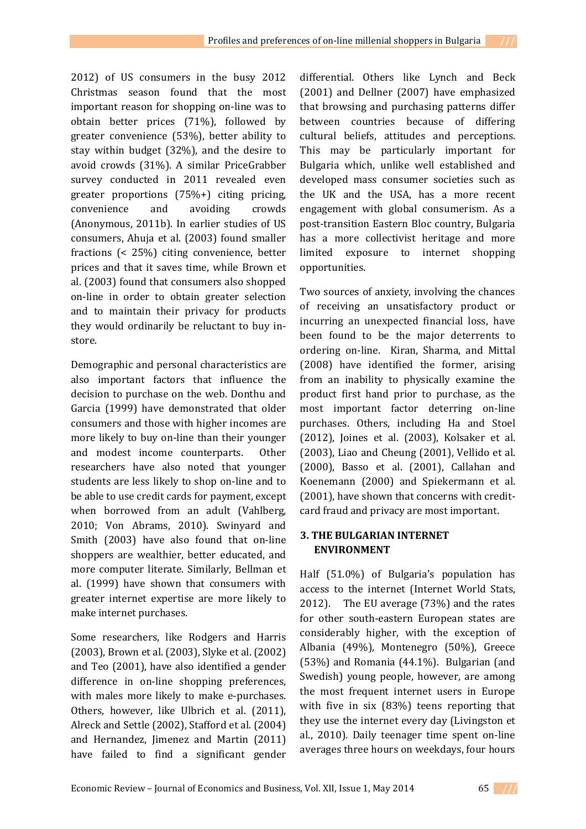2012) of US consumers in the busy 2012 Christmas season found that the most important reason for shopping on-line was to obtain better prices (71%), followed by greater convenience (53%), better ability to stay within budget (32%), and the desire to avoid crowds (31%). A similar PriceGrabber survey conducted in 2011 revealed even greater proportions (75%+) citing pricing, convenience and avoiding crowds (Anonymous, 2011b). In earlier studies of US consumers, Ahuja et al. (2003) found smaller fractions (< 25%) citing convenience, better prices and that it saves time, while Brown et al. (2003) found that consumers also shopped on-line in order to obtain greater selection and to maintain their privacy for products they would ordinarily be reluctant to buy instore.

Demographic and personal characteristics are also important factors that influence the decision to purchase on the web. Donthu and Garcia (1999) have demonstrated that older consumers and those with higher incomes are more likely to buy on-line than their younger and modest income counterparts. Other researchers have also noted that younger students are less likely to shop on-line and to be able to use credit cards for payment, except when borrowed from an adult (Vahlberg, 2010; Von Abrams, 2010). Swinyard and Smith (2003) have also found that on-line shoppers are wealthier, better educated, and more computer literate. Similarly, Bellman et al. (1999) have shown that consumers with greater internet expertise are more likely to make internet purchases.

Some researchers, like Rodgers and Harris (2003), Brown et al. (2003), Slyke et al. (2002) and Teo (2001), have also identified a gender difference in on-line shopping preferences, with males more likely to make e-purchases. Others, however, like Ulbrich et al. (2011), Alreck and Settle (2002), Stafford et al. (2004) and Hernandez, Jimenez and Martin (2011) have failed to find a significant gender differential. Others like Lynch and Beck (2001) and Dellner (2007) have emphasized that browsing and purchasing patterns differ between countries because of differing cultural beliefs, attitudes and perceptions. This may be particularly important for Bulgaria which, unlike well established and developed mass consumer societies such as the UK and the USA, has a more recent engagement with global consumerism. As a post-transition Eastern Bloc country, Bulgaria has a more collectivist heritage and more limited exposure to internet shopping opportunities.

Two sources of anxiety, involving the chances of receiving an unsatisfactory product or incurring an unexpected financial loss, have been found to be the major deterrents to ordering on-line. Kiran, Sharma, and Mittal (2008) have identified the former, arising from an inability to physically examine the product first hand prior to purchase, as the most important factor deterring on-line purchases. Others, including Ha and Stoel (2012), Joines et al. (2003), Kolsaker et al. (2003), Liao and Cheung (2001), Vellido et al. (2000), Basso et al. (2001), Callahan and Koenemann (2000) and Spiekermann et al. (2001), have shown that concerns with creditcard fraud and privacy are most important.

## **3. THE BULGARIAN INTERNET ENVIRONMENT**

Half (51.0%) of Bulgaria's population has access to the internet (Internet World Stats, 2012). The EU average (73%) and the rates for other south-eastern European states are considerably higher, with the exception of Albania (49%), Montenegro (50%), Greece (53%) and Romania (44.1%). Bulgarian (and Swedish) young people, however, are among the most frequent internet users in Europe with five in six (83%) teens reporting that they use the internet every day (Livingston et al., 2010). Daily teenager time spent on-line averages three hours on weekdays, four hours

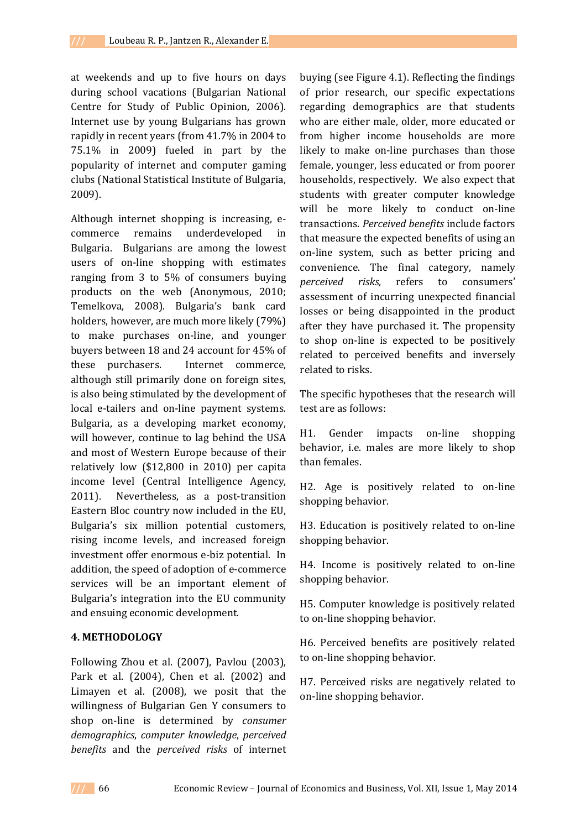at weekends and up to five hours on days during school vacations (Bulgarian National Centre for Study of Public Opinion, 2006). Internet use by young Bulgarians has grown rapidly in recent years (from 41.7% in 2004 to 75.1% in 2009) fueled in part by the popularity of internet and computer gaming clubs (National Statistical Institute of Bulgaria, 2009).

Although internet shopping is increasing, ecommerce remains underdeveloped in Bulgaria. Bulgarians are among the lowest users of on-line shopping with estimates ranging from 3 to 5% of consumers buying products on the web (Anonymous, 2010; Temelkova, 2008). Bulgaria's bank card holders, however, are much more likely (79%) to make purchases on-line, and younger buyers between 18 and 24 account for 45% of these purchasers. Internet commerce, although still primarily done on foreign sites, is also being stimulated by the development of local e-tailers and on-line payment systems. Bulgaria, as a developing market economy, will however, continue to lag behind the USA and most of Western Europe because of their relatively low (\$12,800 in 2010) per capita income level (Central Intelligence Agency, 2011). Nevertheless, as a post-transition Eastern Bloc country now included in the EU, Bulgaria's six million potential customers, rising income levels, and increased foreign investment offer enormous e-biz potential. In addition, the speed of adoption of e-commerce services will be an important element of Bulgaria's integration into the EU community and ensuing economic development.

#### **4. METHODOLOGY**

Following Zhou et al. (2007), Pavlou (2003), Park et al. (2004), Chen et al. (2002) and Limayen et al. (2008), we posit that the willingness of Bulgarian Gen Y consumers to shop on-line is determined by *consumer demographics*, *computer knowledge*, *perceived benefits* and the *perceived risks* of internet

buying (see Figure 4.1). Reflecting the findings of prior research, our specific expectations regarding demographics are that students who are either male, older, more educated or from higher income households are more likely to make on-line purchases than those female, younger, less educated or from poorer households, respectively. We also expect that students with greater computer knowledge will be more likely to conduct on-line transactions. *Perceived benefits* include factors that measure the expected benefits of using an on-line system, such as better pricing and convenience. The final category, namely *perceived risks,* refers to consumers' assessment of incurring unexpected financial losses or being disappointed in the product after they have purchased it. The propensity to shop on-line is expected to be positively related to perceived benefits and inversely related to risks.

The specific hypotheses that the research will test are as follows:

H1. Gender impacts on-line shopping behavior, i.e. males are more likely to shop than females.

H2. Age is positively related to on-line shopping behavior.

H3. Education is positively related to on-line shopping behavior.

H4. Income is positively related to on-line shopping behavior.

H5. Computer knowledge is positively related to on-line shopping behavior.

H6. Perceived benefits are positively related to on-line shopping behavior.

H7. Perceived risks are negatively related to on-line shopping behavior.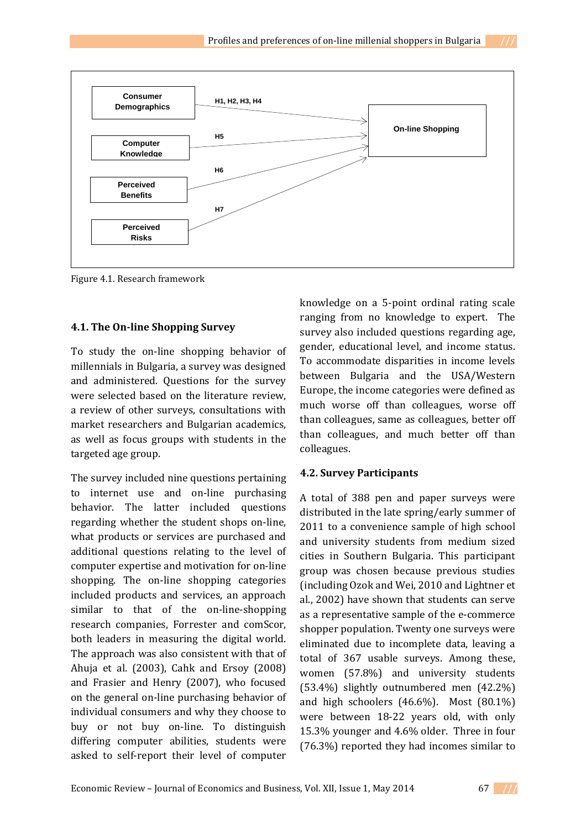

Figure 4.1. Research framework

#### **4.1. The On-line Shopping Survey**

To study the on-line shopping behavior of millennials in Bulgaria, a survey was designed and administered. Questions for the survey were selected based on the literature review, a review of other surveys, consultations with market researchers and Bulgarian academics, as well as focus groups with students in the targeted age group.

The survey included nine questions pertaining to internet use and on-line purchasing behavior. The latter included questions regarding whether the student shops on-line, what products or services are purchased and additional questions relating to the level of computer expertise and motivation for on-line shopping. The on-line shopping categories included products and services, an approach similar to that of the on-line-shopping research companies, Forrester and comScor, both leaders in measuring the digital world. The approach was also consistent with that of Ahuja et al. (2003), Cahk and Ersoy (2008) and Frasier and Henry (2007), who focused on the general on-line purchasing behavior of individual consumers and why they choose to buy or not buy on-line. To distinguish differing computer abilities, students were asked to self-report their level of computer

knowledge on a 5-point ordinal rating scale ranging from no knowledge to expert. The survey also included questions regarding age, gender, educational level, and income status. To accommodate disparities in income levels between Bulgaria and the USA/Western Europe, the income categories were defined as much worse off than colleagues, worse off than colleagues, same as colleagues, better off than colleagues, and much better off than colleagues.

#### **4.2. Survey Participants**

A total of 388 pen and paper surveys were distributed in the late spring/early summer of 2011 to a convenience sample of high school and university students from medium sized cities in Southern Bulgaria. This participant group was chosen because previous studies (including Ozok and Wei, 2010 and Lightner et al., 2002) have shown that students can serve as a representative sample of the e-commerce shopper population. Twenty one surveys were eliminated due to incomplete data, leaving a total of 367 usable surveys. Among these, women (57.8%) and university students (53.4%) slightly outnumbered men (42.2%) and high schoolers (46.6%). Most (80.1%) were between 18-22 years old, with only 15.3% younger and 4.6% older. Three in four (76.3%) reported they had incomes similar to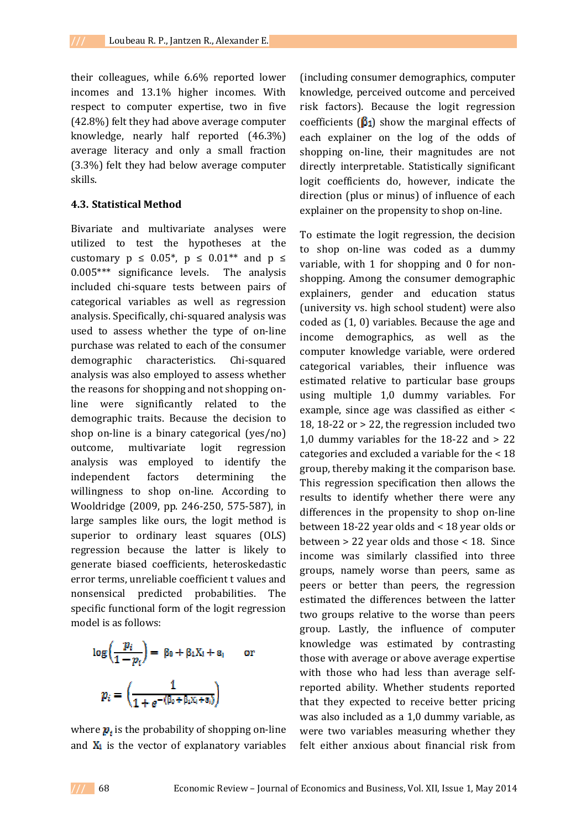their colleagues, while 6.6% reported lower incomes and 13.1% higher incomes. With respect to computer expertise, two in five (42.8%) felt they had above average computer knowledge, nearly half reported (46.3%) average literacy and only a small fraction (3.3%) felt they had below average computer skills.

### **4.3. Statistical Method**

Bivariate and multivariate analyses were utilized to test the hypotheses at the customary  $p \leq 0.05^*$ ,  $p \leq 0.01^{**}$  and  $p \leq$ 0.005\*\*\* significance levels. The analysis included chi-square tests between pairs of categorical variables as well as regression analysis. Specifically, chi-squared analysis was used to assess whether the type of on-line purchase was related to each of the consumer demographic characteristics. Chi-squared analysis was also employed to assess whether the reasons for shopping and not shopping online were significantly related to the demographic traits. Because the decision to shop on-line is a binary categorical (yes/no) outcome, multivariate logit regression analysis was employed to identify the independent factors determining the willingness to shop on-line. According to Wooldridge (2009, pp. 246-250, 575-587), in large samples like ours, the logit method is superior to ordinary least squares (OLS) regression because the latter is likely to generate biased coefficients, heteroskedastic error terms, unreliable coefficient t values and nonsensical predicted probabilities. The specific functional form of the logit regression model is as follows:

$$
\log\left(\frac{p_i}{1-p_i}\right) = \beta_0 + \beta_1 X_i + \varepsilon_i \quad \text{or} \quad
$$

$$
p_i = \left(\frac{1}{1 + e^{-(\beta_0 + \beta_1 X_i + \varepsilon_i)}}\right)
$$

where  $p_i$  is the probability of shopping on-line and  $X_i$  is the vector of explanatory variables (including consumer demographics, computer knowledge, perceived outcome and perceived risk factors). Because the logit regression coefficients ( $\beta_1$ ) show the marginal effects of each explainer on the log of the odds of shopping on-line, their magnitudes are not directly interpretable. Statistically significant logit coefficients do, however, indicate the direction (plus or minus) of influence of each explainer on the propensity to shop on-line.

To estimate the logit regression, the decision to shop on-line was coded as a dummy variable, with 1 for shopping and 0 for nonshopping. Among the consumer demographic explainers, gender and education status (university vs. high school student) were also coded as (1, 0) variables. Because the age and income demographics, as well as the computer knowledge variable, were ordered categorical variables, their influence was estimated relative to particular base groups using multiple 1,0 dummy variables. For example, since age was classified as either < 18, 18-22 or > 22, the regression included two 1,0 dummy variables for the 18-22 and > 22 categories and excluded a variable for the < 18 group, thereby making it the comparison base. This regression specification then allows the results to identify whether there were any differences in the propensity to shop on-line between 18-22 year olds and < 18 year olds or between > 22 year olds and those < 18. Since income was similarly classified into three groups, namely worse than peers, same as peers or better than peers, the regression estimated the differences between the latter two groups relative to the worse than peers group. Lastly, the influence of computer knowledge was estimated by contrasting those with average or above average expertise with those who had less than average selfreported ability. Whether students reported that they expected to receive better pricing was also included as a 1,0 dummy variable, as were two variables measuring whether they felt either anxious about financial risk from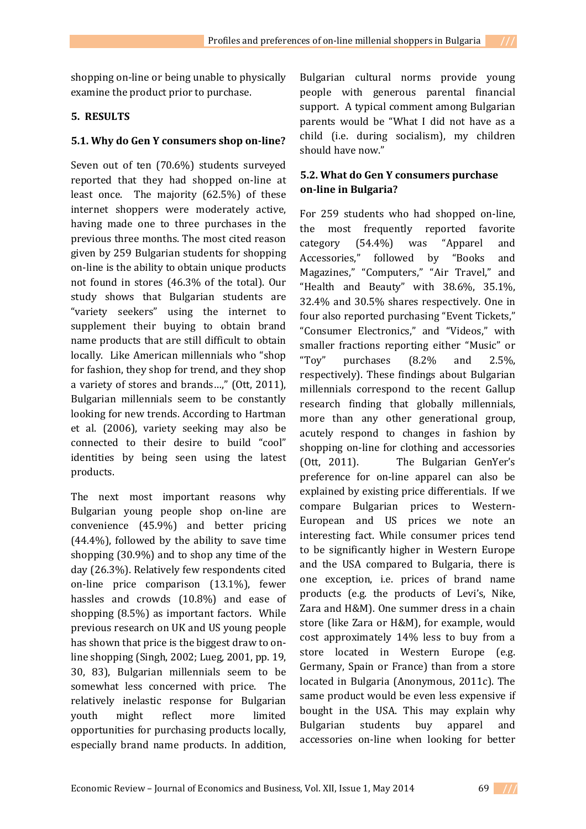## **5. RESULTS**

## **5.1. Why do Gen Y consumers shop on-line?**

Seven out of ten (70.6%) students surveyed reported that they had shopped on-line at least once. The majority (62.5%) of these internet shoppers were moderately active, having made one to three purchases in the previous three months. The most cited reason given by 259 Bulgarian students for shopping on-line is the ability to obtain unique products not found in stores (46.3% of the total). Our study shows that Bulgarian students are "variety seekers" using the internet to supplement their buying to obtain brand name products that are still difficult to obtain locally. Like American millennials who "shop for fashion, they shop for trend, and they shop a variety of stores and brands…," (Ott, 2011), Bulgarian millennials seem to be constantly looking for new trends. According to Hartman et al. (2006), variety seeking may also be connected to their desire to build "cool" identities by being seen using the latest products.

The next most important reasons why Bulgarian young people shop on-line are convenience (45.9%) and better pricing (44.4%), followed by the ability to save time shopping (30.9%) and to shop any time of the day (26.3%). Relatively few respondents cited on-line price comparison (13.1%), fewer hassles and crowds (10.8%) and ease of shopping (8.5%) as important factors. While previous research on UK and US young people has shown that price is the biggest draw to online shopping (Singh, 2002; Lueg, 2001, pp. 19, 30, 83), Bulgarian millennials seem to be somewhat less concerned with price. The relatively inelastic response for Bulgarian youth might reflect more limited opportunities for purchasing products locally, especially brand name products. In addition,

Bulgarian cultural norms provide young people with generous parental financial support. A typical comment among Bulgarian parents would be "What I did not have as a child (i.e. during socialism), my children should have now."

# **5.2. What do Gen Y consumers purchase on-line in Bulgaria?**

For 259 students who had shopped on-line, the most frequently reported favorite category (54.4%) was "Apparel and Accessories," followed by "Books and Magazines," "Computers," "Air Travel," and "Health and Beauty" with 38.6%, 35.1%, 32.4% and 30.5% shares respectively. One in four also reported purchasing "Event Tickets," "Consumer Electronics," and "Videos," with smaller fractions reporting either "Music" or "Toy" purchases (8.2% and 2.5%, respectively). These findings about Bulgarian millennials correspond to the recent Gallup research finding that globally millennials, more than any other generational group, acutely respond to changes in fashion by shopping on-line for clothing and accessories (Ott, 2011). The Bulgarian GenYer's preference for on-line apparel can also be explained by existing price differentials. If we compare Bulgarian prices to Western-European and US prices we note an interesting fact. While consumer prices tend to be significantly higher in Western Europe and the USA compared to Bulgaria, there is one exception, i.e. prices of brand name products (e.g. the products of Levi's, Nike, Zara and H&M). One summer dress in a chain store (like Zara or H&M), for example, would cost approximately 14% less to buy from a store located in Western Europe (e.g. Germany, Spain or France) than from a store located in Bulgaria (Anonymous, 2011c). The same product would be even less expensive if bought in the USA. This may explain why Bulgarian students buy apparel and accessories on-line when looking for better

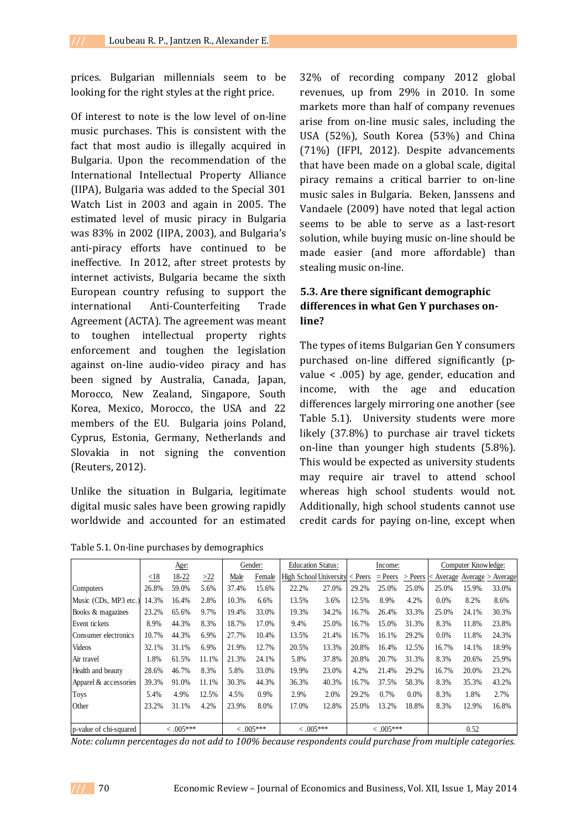prices. Bulgarian millennials seem to be looking for the right styles at the right price.

Of interest to note is the low level of on-line music purchases. This is consistent with the fact that most audio is illegally acquired in Bulgaria. Upon the recommendation of the International Intellectual Property Alliance (IIPA), Bulgaria was added to the Special 301 Watch List in 2003 and again in 2005. The estimated level of music piracy in Bulgaria was 83% in 2002 (IIPA, 2003), and Bulgaria's anti-piracy efforts have continued to be ineffective. In 2012, after street protests by internet activists, Bulgaria became the sixth European country refusing to support the international Anti-Counterfeiting Trade Agreement (ACTA). The agreement was meant to toughen intellectual property rights enforcement and toughen the legislation against on-line audio-video piracy and has been signed by Australia, Canada, Japan, Morocco, New Zealand, Singapore, South Korea, Mexico, Morocco, the USA and 22 members of the EU. Bulgaria joins Poland, Cyprus, Estonia, Germany, Netherlands and Slovakia in not signing the convention (Reuters, 2012).

Unlike the situation in Bulgaria, legitimate digital music sales have been growing rapidly worldwide and accounted for an estimated

Table 5.1. On-line purchases by demographics

32% of recording company 2012 global revenues, up from 29% in 2010. In some markets more than half of company revenues arise from on-line music sales, including the USA (52%), South Korea (53%) and China (71%) (IFPI, 2012). Despite advancements that have been made on a global scale, digital piracy remains a critical barrier to on-line music sales in Bulgaria. Beken, Janssens and Vandaele (2009) have noted that legal action seems to be able to serve as a last-resort solution, while buying music on-line should be made easier (and more affordable) than stealing music on-line.

# **5.3. Are there significant demographic differences in what Gen Y purchases online?**

The types of items Bulgarian Gen Y consumers purchased on-line differed significantly (pvalue < .005) by age, gender, education and income, with the age and education differences largely mirroring one another (see Table 5.1). University students were more likely (37.8%) to purchase air travel tickets on-line than younger high students (5.8%). This would be expected as university students may require air travel to attend school whereas high school students would not. Additionally, high school students cannot use credit cards for paying on-line, except when

|                        | Age:        |       |             | Gender: |             | <b>Education Status:</b>               |             | Income: |           |           | Computer Knowledge:         |       |       |
|------------------------|-------------|-------|-------------|---------|-------------|----------------------------------------|-------------|---------|-----------|-----------|-----------------------------|-------|-------|
|                        | < 18        | 18-22 | $\geq 22$   | Male    | Female      | High School University $\langle$ Peers |             |         | $=$ Peers | $>$ Peers | < Average Average > Average |       |       |
| Computers              | 26.8%       | 59.0% | 5.6%        | 37.4%   | 15.6%       | 22.2%                                  | 27.0%       | 29.2%   | 25.0%     | 25.0%     | 25.0%                       | 15.9% | 33.0% |
| Music (CDs, MP3 etc.)  | 14.3%       | 16.4% | 2.8%        | 10.3%   | 6.6%        | 13.5%                                  | 3.6%        | 12.5%   | 8.9%      | 4.2%      | $0.0\%$                     | 8.2%  | 8.6%  |
| Books & magazines      | 23.2%       | 65.6% | 9.7%        | 19.4%   | 33.0%       | 19.3%                                  | 34.2%       | 16.7%   | 26.4%     | 33.3%     | 25.0%                       | 24.1% | 30.3% |
| Event tickets          | 8.9%        | 44.3% | 8.3%        | 18.7%   | 17.0%       | 9.4%                                   | 25.0%       | 16.7%   | 15.0%     | 31.3%     | 8.3%                        | 11.8% | 23.8% |
| Consumer electronics   | 10.7%       | 44.3% | 6.9%        | 27.7%   | 10.4%       | 13.5%                                  | 21.4%       | 16.7%   | 16.1%     | 29.2%     | 0.0%                        | 11.8% | 24.3% |
| Videos                 | 32.1%       | 31.1% | 6.9%        | 21.9%   | 12.7%       | 20.5%                                  | 13.3%       | 20.8%   | 16.4%     | 12.5%     | 16.7%                       | 14.1% | 18.9% |
| Air travel             | 1.8%        | 61.5% | 11.1%       | 21.3%   | 24.1%       | 5.8%                                   | 37.8%       | 20.8%   | 20.7%     | 31.3%     | 8.3%                        | 20.6% | 25.9% |
| Health and beauty      | 28.6%       | 46.7% | 8.3%        | 5.8%    | 33.0%       | 19.9%                                  | 23.0%       | 4.2%    | 21.4%     | 29.2%     | 16.7%                       | 20.0% | 23.2% |
| Apparel & accessories  | 39.3%       | 91.0% | 11.1%       | 30.3%   | 44.3%       | 36.3%                                  | 40.3%       | 16.7%   | 37.5%     | 58.3%     | 8.3%                        | 35.3% | 43.2% |
| <b>Toys</b>            | 5.4%        | 4.9%  | 12.5%       | 4.5%    | 0.9%        | 2.9%                                   | 2.0%        | 29.2%   | 0.7%      | 0.0%      | 8.3%                        | 1.8%  | 2.7%  |
| Other                  | 23.2%       | 31.1% | 4.2%        | 23.9%   | 8.0%        | 17.0%                                  | 12.8%       | 25.0%   | 13.2%     | 18.8%     | 8.3%                        | 12.9% | 16.8% |
|                        |             |       |             |         |             |                                        |             |         |           |           |                             |       |       |
| p-value of chi-squared | $< .005***$ |       | $< .005***$ |         | $< .005***$ |                                        | $< .005***$ |         |           | 0.52      |                             |       |       |

*Note: column percentages do not add to 100% because respondents could purchase from multiple categories.*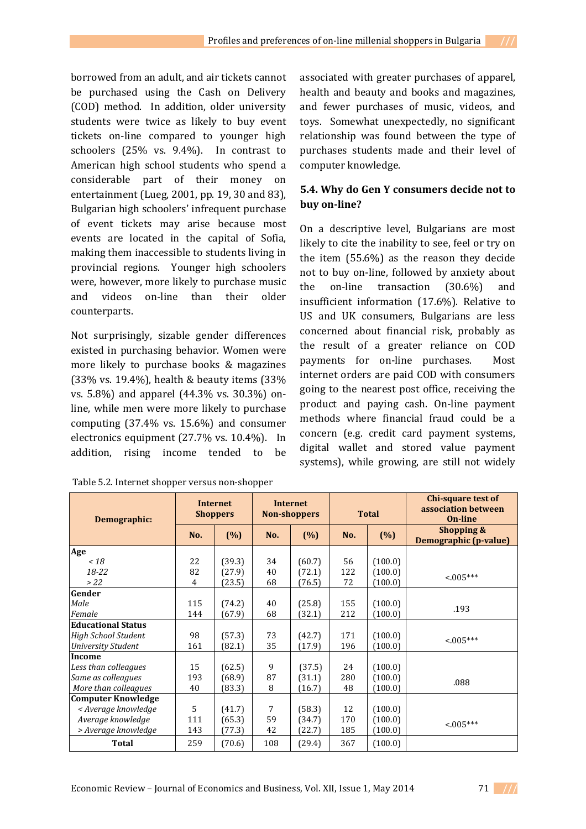borrowed from an adult, and air tickets cannot be purchased using the Cash on Delivery (COD) method. In addition, older university students were twice as likely to buy event tickets on-line compared to younger high schoolers (25% vs. 9.4%). In contrast to American high school students who spend a considerable part of their money on entertainment (Lueg, 2001, pp. 19, 30 and 83), Bulgarian high schoolers' infrequent purchase of event tickets may arise because most events are located in the capital of Sofia, making them inaccessible to students living in provincial regions. Younger high schoolers were, however, more likely to purchase music and videos on-line than their older counterparts.

Not surprisingly, sizable gender differences existed in purchasing behavior. Women were more likely to purchase books & magazines (33% vs. 19.4%), health & beauty items (33% vs. 5.8%) and apparel (44.3% vs. 30.3%) online, while men were more likely to purchase computing (37.4% vs. 15.6%) and consumer electronics equipment (27.7% vs. 10.4%). In addition, rising income tended to be

associated with greater purchases of apparel, health and beauty and books and magazines, and fewer purchases of music, videos, and toys. Somewhat unexpectedly, no significant relationship was found between the type of purchases students made and their level of computer knowledge.

# **5.4. Why do Gen Y consumers decide not to buy on-line?**

On a descriptive level, Bulgarians are most likely to cite the inability to see, feel or try on the item (55.6%) as the reason they decide not to buy on-line, followed by anxiety about the on-line transaction (30.6%) and insufficient information (17.6%). Relative to US and UK consumers, Bulgarians are less concerned about financial risk, probably as the result of a greater reliance on COD payments for on-line purchases. Most internet orders are paid COD with consumers going to the nearest post office, receiving the product and paying cash. On-line payment methods where financial fraud could be a concern (e.g. credit card payment systems, digital wallet and stored value payment systems), while growing, are still not widely

| Demographic:               |     | <b>Internet</b><br><b>Shoppers</b> |     | <b>Internet</b><br><b>Non-shoppers</b> | <b>Total</b> |         | Chi-square test of<br>association between<br><b>On-line</b> |  |
|----------------------------|-----|------------------------------------|-----|----------------------------------------|--------------|---------|-------------------------------------------------------------|--|
|                            | No. | (%)                                | No. | (%)                                    | No.          | (%)     | Shopping &<br>Demographic (p-value)                         |  |
| Age                        |     |                                    |     |                                        |              |         |                                                             |  |
| ~18                        | 22  | (39.3)                             | 34  | (60.7)                                 | 56           | (100.0) |                                                             |  |
| $18 - 22$                  | 82  | (27.9)                             | 40  | (72.1)                                 | 122          | (100.0) | $< 005***$                                                  |  |
| >22                        | 4   | (23.5)                             | 68  | (76.5)                                 | 72           | (100.0) |                                                             |  |
| Gender                     |     |                                    |     |                                        |              |         |                                                             |  |
| Male                       | 115 | (74.2)                             | 40  | (25.8)                                 | 155          | (100.0) | .193                                                        |  |
| Female                     | 144 | (67.9)                             | 68  | (32.1)                                 | 212          | (100.0) |                                                             |  |
| <b>Educational Status</b>  |     |                                    |     |                                        |              |         |                                                             |  |
| <b>High School Student</b> | 98  | (57.3)                             | 73  | (42.7)                                 | 171          | (100.0) | $< 0.05***$                                                 |  |
| <b>University Student</b>  | 161 | (82.1)                             | 35  | (17.9)                                 | 196          | (100.0) |                                                             |  |
| Income                     |     |                                    |     |                                        |              |         |                                                             |  |
| Less than colleagues       | 15  | (62.5)                             | 9   | (37.5)                                 | 24           | (100.0) |                                                             |  |
| Same as colleagues         | 193 | (68.9)                             | 87  | (31.1)                                 | 280          | (100.0) | .088                                                        |  |
| More than colleagues       | 40  | (83.3)                             | 8   | (16.7)                                 | 48           | (100.0) |                                                             |  |
| <b>Computer Knowledge</b>  |     |                                    |     |                                        |              |         |                                                             |  |
| < Average knowledge        | 5   | (41.7)                             | 7   | (58.3)                                 | 12           | (100.0) |                                                             |  |
| Average knowledge          | 111 | (65.3)                             | 59  | (34.7)                                 | 170          | (100.0) | $< 0.05***$                                                 |  |
| > Average knowledge        | 143 | (77.3)                             | 42  | (22.7)                                 | 185          | (100.0) |                                                             |  |
| <b>Total</b>               | 259 | (70.6)                             | 108 | (29.4)                                 | 367          | (100.0) |                                                             |  |

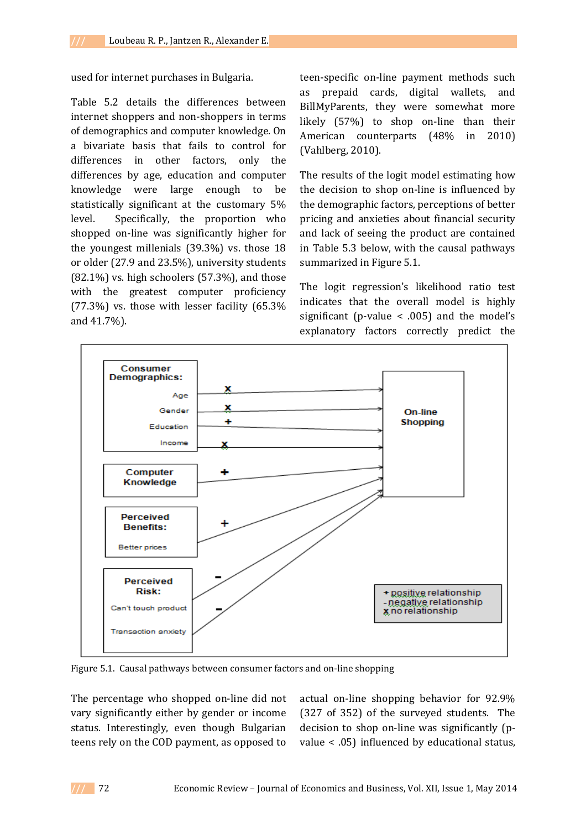used for internet purchases in Bulgaria.

Table 5.2 details the differences between internet shoppers and non-shoppers in terms of demographics and computer knowledge. On a bivariate basis that fails to control for differences in other factors, only the differences by age, education and computer knowledge were large enough to be statistically significant at the customary 5% level. Specifically, the proportion who shopped on-line was significantly higher for the youngest millenials (39.3%) vs. those 18 or older (27.9 and 23.5%), university students  $(82.1\%)$  vs. high schoolers  $(57.3\%)$ , and those with the greatest computer proficiency (77.3%) vs. those with lesser facility (65.3% and 41.7%).

teen-specific on-line payment methods such as prepaid cards, digital wallets, and BillMyParents, they were somewhat more likely (57%) to shop on-line than their American counterparts (48% in 2010) (Vahlberg, 2010).

The results of the logit model estimating how the decision to shop on-line is influenced by the demographic factors, perceptions of better pricing and anxieties about financial security and lack of seeing the product are contained in Table 5.3 below, with the causal pathways summarized in Figure 5.1.

The logit regression's likelihood ratio test indicates that the overall model is highly significant (p-value  $\lt$  .005) and the model's explanatory factors correctly predict the



Figure 5.1. Causal pathways between consumer factors and on-line shopping

The percentage who shopped on-line did not vary significantly either by gender or income status. Interestingly, even though Bulgarian teens rely on the COD payment, as opposed to

actual on-line shopping behavior for 92.9% (327 of 352) of the surveyed students. The decision to shop on-line was significantly (pvalue < .05) influenced by educational status,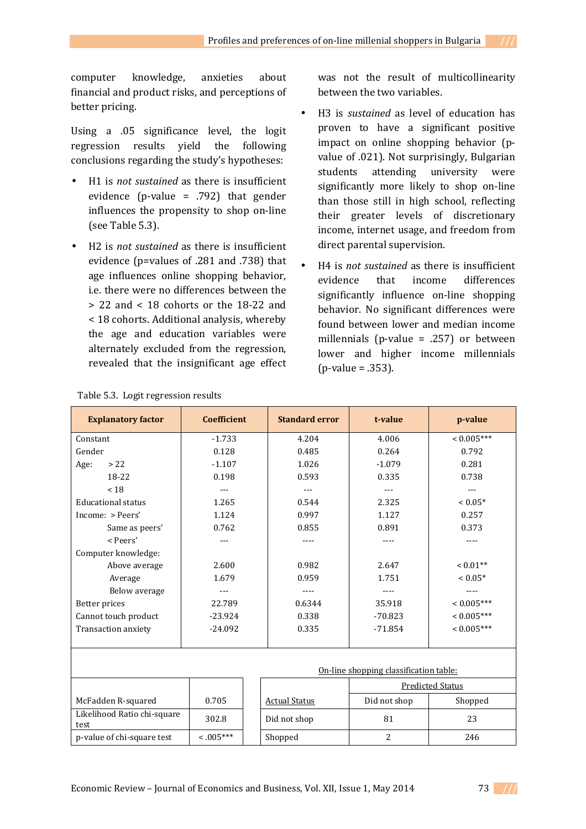computer knowledge, anxieties about financial and product risks, and perceptions of better pricing.

Using a .05 significance level, the logit regression results yield the following conclusions regarding the study's hypotheses:

- H1 is *not sustained* as there is insufficient evidence (p-value = .792) that gender influences the propensity to shop on-line (see Table 5.3).
- H2 is *not sustained* as there is insufficient evidence (p=values of .281 and .738) that age influences online shopping behavior, i.e. there were no differences between the > 22 and < 18 cohorts or the 18-22 and < 18 cohorts. Additional analysis, whereby the age and education variables were alternately excluded from the regression, revealed that the insignificant age effect

was not the result of multicollinearity between the two variables.

- H3 is *sustained* as level of education has proven to have a significant positive impact on online shopping behavior (pvalue of .021). Not surprisingly, Bulgarian students attending university were significantly more likely to shop on-line than those still in high school, reflecting their greater levels of discretionary income, internet usage, and freedom from direct parental supervision.
- H4 is *not sustained* as there is insufficient evidence that income differences significantly influence on-line shopping behavior. No significant differences were found between lower and median income millennials (p-value = .257) or between lower and higher income millennials (p-value = .353).

| <b>Explanatory factor</b>              | <b>Coefficient</b> |  | <b>Standard error</b>   | t-value        | p-value      |  |  |  |  |  |
|----------------------------------------|--------------------|--|-------------------------|----------------|--------------|--|--|--|--|--|
| Constant                               | $-1.733$           |  | 4.204                   | 4.006          | $< 0.005***$ |  |  |  |  |  |
| Gender                                 | 0.128              |  | 0.485                   | 0.264          | 0.792        |  |  |  |  |  |
| > 22<br>Age:                           | $-1.107$           |  | 1.026                   | $-1.079$       | 0.281        |  |  |  |  |  |
| 18-22                                  | 0.198              |  | 0.593                   | 0.335          | 0.738        |  |  |  |  |  |
| < 18                                   | $---$              |  | $- - -$                 | $---$          | $---$        |  |  |  |  |  |
| <b>Educational status</b>              | 1.265              |  | 0.544                   | 2.325          | $< 0.05*$    |  |  |  |  |  |
| Income: > Peers'                       | 1.124              |  | 0.997                   | 1.127          | 0.257        |  |  |  |  |  |
| Same as peers'                         | 0.762              |  | 0.855                   | 0.891          | 0.373        |  |  |  |  |  |
| < Peers'                               | ---                |  | ----                    | ----           | $---$        |  |  |  |  |  |
| Computer knowledge:                    |                    |  |                         |                |              |  |  |  |  |  |
| Above average                          | 2.600              |  | 0.982                   | 2.647          | $< 0.01**$   |  |  |  |  |  |
| Average                                | 1.679              |  | 0.959                   | 1.751          | $< 0.05*$    |  |  |  |  |  |
| Below average                          |                    |  |                         |                |              |  |  |  |  |  |
| Better prices                          | 22.789             |  | 0.6344                  | 35.918         | $< 0.005***$ |  |  |  |  |  |
| Cannot touch product                   | $-23.924$          |  | 0.338                   | $-70.823$      | $< 0.005***$ |  |  |  |  |  |
| Transaction anxiety                    | $-24.092$          |  | 0.335                   | $-71.854$      | $< 0.005***$ |  |  |  |  |  |
|                                        |                    |  |                         |                |              |  |  |  |  |  |
|                                        |                    |  |                         |                |              |  |  |  |  |  |
| On-line shopping classification table: |                    |  |                         |                |              |  |  |  |  |  |
|                                        |                    |  | <b>Predicted Status</b> |                |              |  |  |  |  |  |
| McFadden R-squared                     | 0.705              |  | <b>Actual Status</b>    | Did not shop   | Shopped      |  |  |  |  |  |
| Likelihood Ratio chi-square<br>test    | 302.8              |  | Did not shop            | 81             | 23           |  |  |  |  |  |
| p-value of chi-square test             | $< 0.005***$       |  | Shopped                 | $\overline{2}$ | 246          |  |  |  |  |  |

Table 5.3. Logit regression results

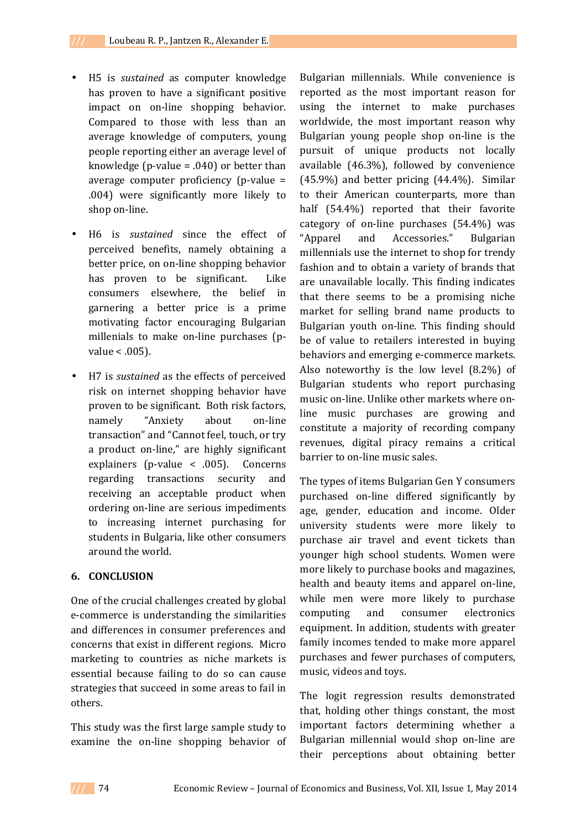- H5 is *sustained* as computer knowledge has proven to have a significant positive impact on on-line shopping behavior. Compared to those with less than an average knowledge of computers, young people reporting either an average level of knowledge (p-value  $= .040$ ) or better than average computer proficiency (p-value = .004) were significantly more likely to shop on-line.
- H6 is *sustained* since the effect of perceived benefits, namely obtaining a better price, on on-line shopping behavior has proven to be significant. Like consumers elsewhere, the belief in garnering a better price is a prime motivating factor encouraging Bulgarian millenials to make on-line purchases (pvalue < .005).
- H7 is *sustained* as the effects of perceived risk on internet shopping behavior have proven to be significant. Both risk factors, namely "Anxiety about on-line transaction" and "Cannot feel, touch, or try a product on-line," are highly significant explainers (p-value < .005). Concerns regarding transactions security and receiving an acceptable product when ordering on-line are serious impediments to increasing internet purchasing for students in Bulgaria, like other consumers around the world.

### **6. CONCLUSION**

One of the crucial challenges created by global e-commerce is understanding the similarities and differences in consumer preferences and concerns that exist in different regions. Micro marketing to countries as niche markets is essential because failing to do so can cause strategies that succeed in some areas to fail in others.

This study was the first large sample study to examine the on-line shopping behavior of

Bulgarian millennials. While convenience is reported as the most important reason for using the internet to make purchases worldwide, the most important reason why Bulgarian young people shop on-line is the pursuit of unique products not locally available (46.3%), followed by convenience (45.9%) and better pricing (44.4%). Similar to their American counterparts, more than half (54.4%) reported that their favorite category of on-line purchases (54.4%) was "Apparel and Accessories." Bulgarian millennials use the internet to shop for trendy fashion and to obtain a variety of brands that are unavailable locally. This finding indicates that there seems to be a promising niche market for selling brand name products to Bulgarian youth on-line. This finding should be of value to retailers interested in buying behaviors and emerging e-commerce markets. Also noteworthy is the low level (8.2%) of Bulgarian students who report purchasing music on-line. Unlike other markets where online music purchases are growing and constitute a majority of recording company revenues, digital piracy remains a critical barrier to on-line music sales.

The types of items Bulgarian Gen Y consumers purchased on-line differed significantly by age, gender, education and income. Older university students were more likely to purchase air travel and event tickets than younger high school students. Women were more likely to purchase books and magazines, health and beauty items and apparel on-line, while men were more likely to purchase computing and consumer electronics equipment. In addition, students with greater family incomes tended to make more apparel purchases and fewer purchases of computers, music, videos and toys.

The logit regression results demonstrated that, holding other things constant, the most important factors determining whether a Bulgarian millennial would shop on-line are their perceptions about obtaining better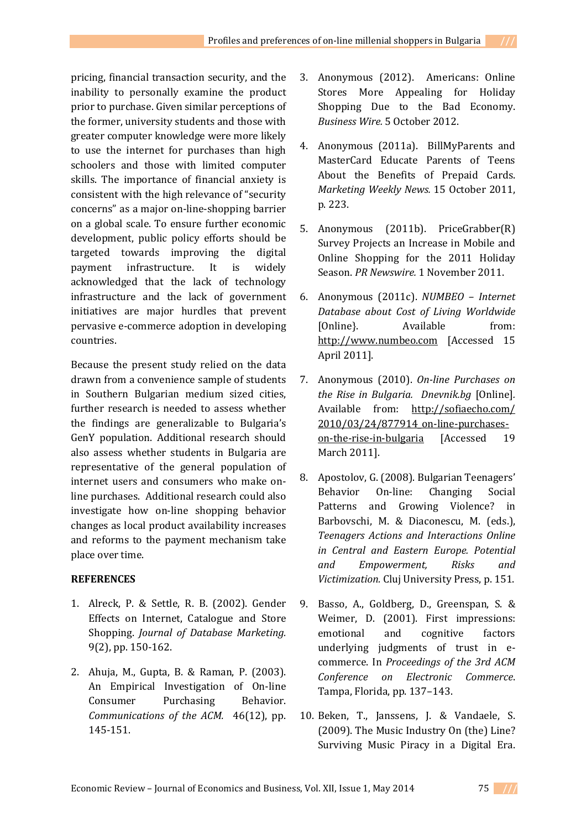pricing, financial transaction security, and the inability to personally examine the product prior to purchase. Given similar perceptions of the former, university students and those with greater computer knowledge were more likely to use the internet for purchases than high schoolers and those with limited computer skills. The importance of financial anxiety is consistent with the high relevance of "security concerns" as a major on-line-shopping barrier on a global scale. To ensure further economic development, public policy efforts should be targeted towards improving the digital payment infrastructure. It is widely acknowledged that the lack of technology infrastructure and the lack of government initiatives are major hurdles that prevent pervasive e-commerce adoption in developing countries.

Because the present study relied on the data drawn from a convenience sample of students in Southern Bulgarian medium sized cities, further research is needed to assess whether the findings are generalizable to Bulgaria's GenY population. Additional research should also assess whether students in Bulgaria are representative of the general population of internet users and consumers who make online purchases. Additional research could also investigate how on-line shopping behavior changes as local product availability increases and reforms to the payment mechanism take place over time.

## **REFERENCES**

- 1. Alreck, P. & Settle, R. B. (2002). Gender Effects on Internet, Catalogue and Store Shopping. *Journal of Database Marketing.*  9(2), pp. 150-162.
- 2. Ahuja, M., Gupta, B. & Raman, P. (2003). An Empirical Investigation of On-line Consumer Purchasing Behavior. *Communications of the ACM.* 46(12), pp. 145-151.
- 3. Anonymous (2012). Americans: Online Stores More Appealing for Holiday Shopping Due to the Bad Economy. *Business Wire.* 5 October 2012.
- 4. Anonymous (2011a). BillMyParents and MasterCard Educate Parents of Teens About the Benefits of Prepaid Cards. *Marketing Weekly News.* 15 October 2011, p. 223.
- 5. Anonymous (2011b). PriceGrabber(R) Survey Projects an Increase in Mobile and Online Shopping for the 2011 Holiday Season. *PR Newswire.* 1 November 2011.
- 6. Anonymous (2011c). *NUMBEO Internet Database about Cost of Living Worldwide*  [Online]. Available from: http://www.numbeo.com [Accessed 15 April 2011].
- 7. Anonymous (2010). *On-line Purchases on the Rise in Bulgaria. Dnevnik.bg* [Online]*.* Available from: http://sofiaecho.com/ 2010/03/24/877914\_on-line-purchaseson-the-rise-in-bulgaria [Accessed 19 March 2011].
- 8. Apostolov, G. (2008). Bulgarian Teenagers' Behavior On-line: Changing Social Patterns and Growing Violence? in Barbovschi, M. & Diaconescu, M. (eds.), *Teenagers Actions and Interactions Online in Central and Eastern Europe. Potential and Empowerment, Risks and Victimization.* Cluj University Press, p. 151.
- 9. Basso, A., Goldberg, D., Greenspan, S. & Weimer, D. (2001). First impressions: emotional and cognitive factors underlying judgments of trust in ecommerce. In *Proceedings of the 3rd ACM Conference on Electronic Commerce*. Tampa, Florida, pp. 137–143.
- 10. Beken, T., Janssens, J. & Vandaele, S. (2009). The Music Industry On (the) Line? Surviving Music Piracy in a Digital Era.

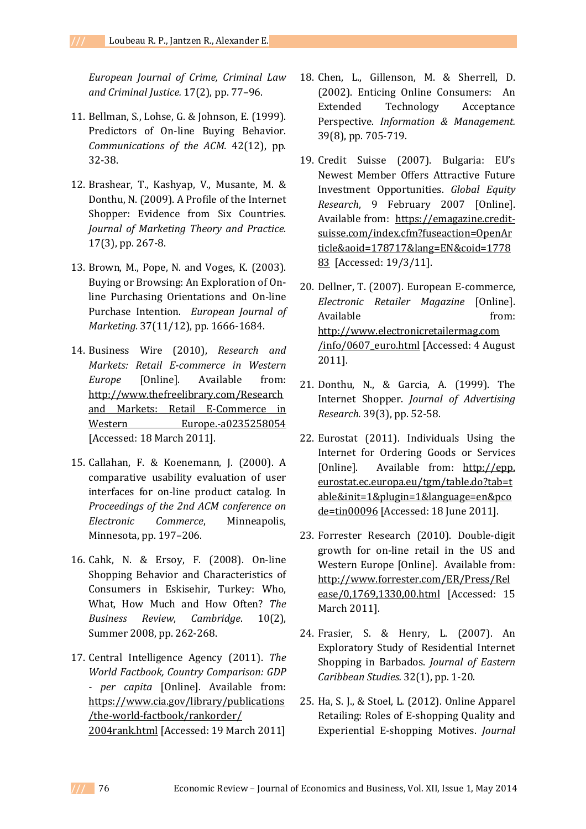*European Journal of Crime, Criminal Law and Criminal Justice.* 17(2), pp. 77–96.

- 11. Bellman, S., Lohse, G. & Johnson, E. (1999). Predictors of On-line Buying Behavior. *Communications of the ACM.* 42(12), pp. 32-38.
- 12. Brashear, T., Kashyap, V., Musante, M. & Donthu, N. (2009). A Profile of the Internet Shopper: Evidence from Six Countries. *Journal of Marketing Theory and Practice.* 17(3), pp. 267-8.
- 13. Brown, M., Pope, N. and Voges, K. (2003). Buying or Browsing: An Exploration of Online Purchasing Orientations and On-line Purchase Intention. *European Journal of Marketing.* 37(11/12), pp. 1666-1684.
- 14. Business Wire (2010), *Research and Markets: Retail E-commerce in Western Europe* [Online]. Available from: http://www.thefreelibrary.com/Research and Markets: Retail E-Commerce in Western Europe.-a0235258054 [Accessed: 18 March 2011].
- 15. Callahan, F. & Koenemann, J. (2000). A comparative usability evaluation of user interfaces for on-line product catalog. In *Proceedings of the 2nd ACM conference on Electronic Commerce*, Minneapolis, Minnesota, pp. 197–206.
- 16. Cahk, N. & Ersoy, F. (2008). On-line Shopping Behavior and Characteristics of Consumers in Eskisehir, Turkey: Who, What, How Much and How Often? *The Business Review*, *Cambridge*. 10(2), Summer 2008, pp. 262-268.
- 17. Central Intelligence Agency (2011). *The World Factbook, Country Comparison: GDP - per capita* [Online]. Available from: https://www.cia.gov/library/publications /the-world-factbook/rankorder/ 2004rank.html [Accessed: 19 March 2011]
- 18. Chen, L., Gillenson, M. & Sherrell, D. (2002). Enticing Online Consumers: An Extended Technology Acceptance Perspective. *Information & Management.* 39(8), pp. 705-719.
- 19. Credit Suisse (2007). Bulgaria: EU's Newest Member Offers Attractive Future Investment Opportunities. *Global Equity Research*, 9 February 2007 [Online]. Available from: https://emagazine.creditsuisse.com/index.cfm?fuseaction=OpenAr ticle&aoid=178717&lang=EN&coid=1778 83 [Accessed: 19/3/11].
- 20. Dellner, T. (2007). European E-commerce, *Electronic Retailer Magazine* [Online]. Available from: http://www.electronicretailermag.com /info/0607\_euro.html [Accessed: 4 August 2011].
- 21. Donthu, N., & Garcia, A. (1999). The Internet Shopper. *Journal of Advertising Research.* 39(3), pp. 52-58.
- 22. Eurostat (2011). Individuals Using the Internet for Ordering Goods or Services [Online]. Available from: http://epp. eurostat.ec.europa.eu/tgm/table.do?tab=t able&init=1&plugin=1&language=en&pco de=tin00096 [Accessed: 18 June 2011].
- 23. Forrester Research (2010). Double-digit growth for on-line retail in the US and Western Europe [Online]. Available from: http://www.forrester.com/ER/Press/Rel ease/0,1769,1330,00.html [Accessed: 15 March 2011].
- 24. Frasier, S. & Henry, L. (2007). An Exploratory Study of Residential Internet Shopping in Barbados. *Journal of Eastern Caribbean Studies.* 32(1), pp. 1-20.
- 25. Ha, S. J., & Stoel, L. (2012). Online Apparel Retailing: Roles of E-shopping Quality and Experiential E-shopping Motives. *Journal*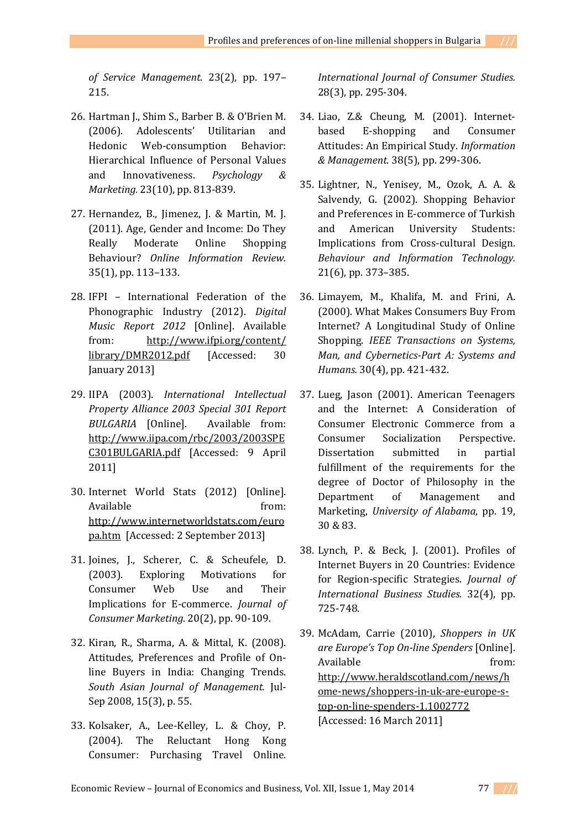*of Service Management.* 23(2), pp. 197– 215.

- 26. Hartman J., Shim S., Barber B. & O'Brien M. (2006). Adolescents' Utilitarian and Hedonic Web-consumption Behavior: Hierarchical Influence of Personal Values and Innovativeness. *Psychology & Marketing.* 23(10), pp. 813-839.
- 27. Hernandez, B., Jimenez, J. & Martin, M. J. (2011). Age, Gender and Income: Do They Really Moderate Online Shopping Behaviour? *Online Information Review.* 35(1), pp. 113–133.
- 28. IFPI International Federation of the Phonographic Industry (2012). *Digital Music Report 2012* [Online]. Available from: http://www.ifpi.org/content/ library/DMR2012.pdf [Accessed: 30 January 2013]
- 29. IIPA (2003). *International Intellectual Property Alliance 2003 Special 301 Report BULGARIA* [Online]. Available from: http://www.iipa.com/rbc/2003/2003SPE C301BULGARIA.pdf [Accessed: 9 April 2011]
- 30. Internet World Stats (2012) [Online]. Available from: http://www.internetworldstats.com/euro pa.htm [Accessed: 2 September 2013]
- 31. Joines, J., Scherer, C. & Scheufele, D. (2003). Exploring Motivations for Consumer Web Use and Their Implications for E-commerce. *Journal of Consumer Marketing.* 20(2), pp. 90-109.
- 32. Kiran, R., Sharma, A. & Mittal, K. (2008). Attitudes, Preferences and Profile of Online Buyers in India: Changing Trends. *South Asian Journal of Management.* Jul-Sep 2008, 15(3), p. 55.
- 33. Kolsaker, A., Lee-Kelley, L. & Choy, P. (2004). The Reluctant Hong Kong Consumer: Purchasing Travel Online.

*International Journal of Consumer Studies.* 28(3), pp. 295-304.

- 34. Liao, Z.& Cheung, M. (2001). Internetbased E-shopping and Consumer Attitudes: An Empirical Study. *Information & Management.* 38(5), pp. 299-306.
- 35. Lightner, N., Yenisey, M., Ozok, A. A. & Salvendy, G. (2002). Shopping Behavior and Preferences in E-commerce of Turkish and American University Students: Implications from Cross-cultural Design. *Behaviour and Information Technology.* 21(6), pp. 373–385.
- 36. Limayem, M., Khalifa, M. and Frini, A. (2000). What Makes Consumers Buy From Internet? A Longitudinal Study of Online Shopping. *IEEE Transactions on Systems, Man, and Cybernetics-Part A: Systems and Humans.* 30(4), pp. 421-432.
- 37. Lueg, Jason (2001). American Teenagers and the Internet: A Consideration of Consumer Electronic Commerce from a Consumer Socialization Perspective. Dissertation submitted in partial fulfillment of the requirements for the degree of Doctor of Philosophy in the Department of Management and Marketing, *University of Alabama*, pp. 19, 30 & 83.
- 38. Lynch, P. & Beck, J. (2001). Profiles of Internet Buyers in 20 Countries: Evidence for Region-specific Strategies. *Journal of International Business Studies.* 32(4), pp. 725-748.
- 39. McAdam, Carrie (2010), *Shoppers in UK are Europe's Top On-line Spenders* [Online]. Available from: http://www.heraldscotland.com/news/h ome-news/shoppers-in-uk-are-europe-stop-on-line-spenders-1.1002772 [Accessed: 16 March 2011]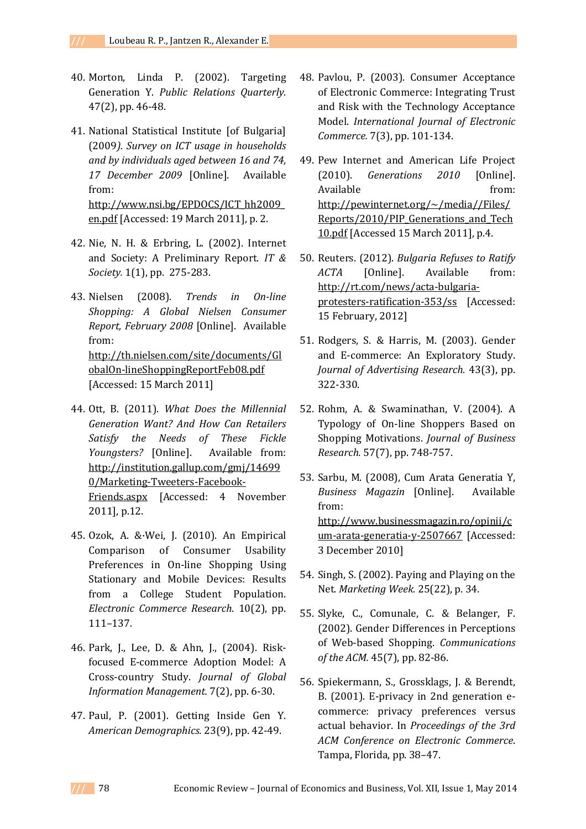- 40. Morton, Linda P. (2002). Targeting Generation Y. *Public Relations Quarterly.* 47(2), pp. 46-48.
- 41. National Statistical Institute [of Bulgaria] (2009*). Survey on ICT usage in households and by individuals aged between 16 and 74, 17 December 2009* [Online]. Available from: http://www.nsi.bg/EPDOCS/ICT\_hh2009\_ en.pdf [Accessed: 19 March 2011], p. 2.
- 42. Nie, N. H. & Erbring, L. (2002). Internet and Society: A Preliminary Report. *IT & Society.* 1(1), pp. 275-283.
- 43. Nielsen (2008). *Trends in On-line Shopping: A Global Nielsen Consumer Report, February 2008* [Online]. Available from: http://th.nielsen.com/site/documents/Gl obalOn-lineShoppingReportFeb08.pdf [Accessed: 15 March 2011]
- 44. Ott, B. (2011). *What Does the Millennial Generation Want? And How Can Retailers Satisfy the Needs of These Fickle Youngsters?* [Online]. Available from: http://institution.gallup.com/gmj/14699 0/Marketing-Tweeters-Facebook-Friends.aspx [Accessed: 4 November 2011], p.12.
- 45. Ozok, A. &·Wei, J. (2010). An Empirical Comparison of Consumer Usability Preferences in On-line Shopping Using Stationary and Mobile Devices: Results from a College Student Population. *Electronic Commerce Research.* 10(2), pp. 111–137.
- 46. Park, J., Lee, D. & Ahn, J., (2004). Riskfocused E-commerce Adoption Model: A Cross-country Study. *Journal of Global Information Management.* 7(2), pp. 6-30.
- 47. Paul, P. (2001). Getting Inside Gen Y. *American Demographics.* 23(9), pp. 42-49.
- 48. Pavlou, P. (2003). Consumer Acceptance of Electronic Commerce: Integrating Trust and Risk with the Technology Acceptance Model. *International Journal of Electronic Commerce.* 7(3), pp. 101-134.
- 49. Pew Internet and American Life Project (2010). *Generations 2010* [Online]. Available from: http://pewinternet.org/~/media//Files/ Reports/2010/PIP Generations and Tech 10.pdf [Accessed 15 March 2011], p.4.
- 50. Reuters. (2012). *Bulgaria Refuses to Ratify ACTA* [Online]. Available from: http://rt.com/news/acta-bulgariaprotesters-ratification-353/ss [Accessed: 15 February, 2012]
- 51. Rodgers, S. & Harris, M. (2003). Gender and E-commerce: An Exploratory Study. *Journal of Advertising Research.* 43(3), pp. 322-330.
- 52. Rohm, A. & Swaminathan, V. (2004). A Typology of On-line Shoppers Based on Shopping Motivations. *Journal of Business Research.* 57(7), pp. 748-757.
- 53. Sarbu, M. (2008), Cum Arata Generatia Y, *Business Magazin* [Online]. Available from: http://www.businessmagazin.ro/opinii/c um-arata-generatia-y-2507667 [Accessed: 3 December 2010]
- 54. Singh, S. (2002). Paying and Playing on the Net. *Marketing Week.* 25(22), p. 34.
- 55. Slyke, C., Comunale, C. & Belanger, F. (2002). Gender Differences in Perceptions of Web-based Shopping. *Communications of the ACM.* 45(7), pp. 82-86.
- 56. Spiekermann, S., Grossklags, J. & Berendt, B. (2001). E-privacy in 2nd generation ecommerce: privacy preferences versus actual behavior. In *Proceedings of the 3rd ACM Conference on Electronic Commerce*. Tampa, Florida, pp. 38–47.